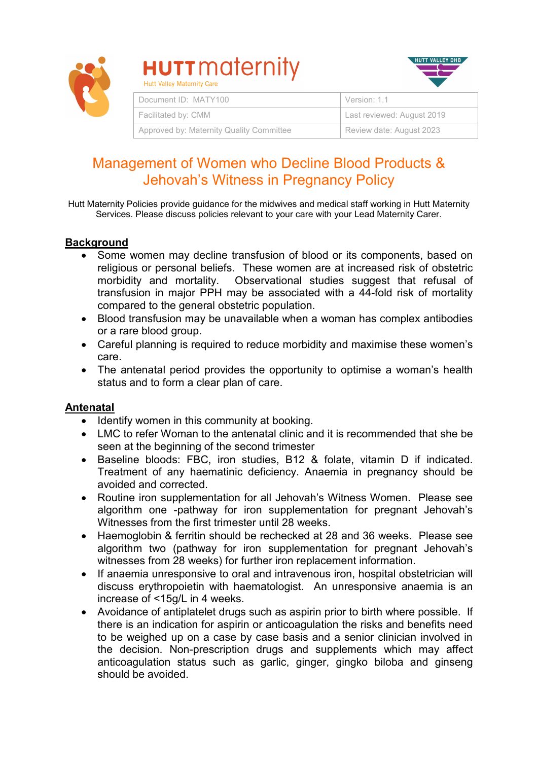

# **HUTT** maternity **Hutt Valley Maternity Care**



| Document ID: MATY100                     | Version: 1.1               |
|------------------------------------------|----------------------------|
| Facilitated by: CMM                      | Last reviewed: August 2019 |
| Approved by: Maternity Quality Committee | Review date: August 2023   |

# Management of Women who Decline Blood Products & Jehovah's Witness in Pregnancy Policy

Hutt Maternity Policies provide guidance for the midwives and medical staff working in Hutt Maternity Services. Please discuss policies relevant to your care with your Lead Maternity Carer.

# **Background**

- Some women may decline transfusion of blood or its components, based on religious or personal beliefs. These women are at increased risk of obstetric morbidity and mortality. Observational studies suggest that refusal of transfusion in major PPH may be associated with a 44-fold risk of mortality compared to the general obstetric population.
- Blood transfusion may be unavailable when a woman has complex antibodies or a rare blood group.
- Careful planning is required to reduce morbidity and maximise these women's care.
- The antenatal period provides the opportunity to optimise a woman's health status and to form a clear plan of care.

#### **Antenatal**

- Identify women in this community at booking.
- LMC to refer Woman to the antenatal clinic and it is recommended that she be seen at the beginning of the second trimester
- Baseline bloods: FBC, iron studies, B12 & folate, vitamin D if indicated. Treatment of any haematinic deficiency. Anaemia in pregnancy should be avoided and corrected.
- Routine iron supplementation for all Jehovah's Witness Women. Please see algorithm one -pathway for iron supplementation for pregnant Jehovah's Witnesses from the first trimester until 28 weeks.
- Haemoglobin & ferritin should be rechecked at 28 and 36 weeks. Please see algorithm two (pathway for iron supplementation for pregnant Jehovah's witnesses from 28 weeks) for further iron replacement information.
- If anaemia unresponsive to oral and intravenous iron, hospital obstetrician will discuss erythropoietin with haematologist. An unresponsive anaemia is an increase of <15g/L in 4 weeks.
- Avoidance of antiplatelet drugs such as aspirin prior to birth where possible. If there is an indication for aspirin or anticoagulation the risks and benefits need to be weighed up on a case by case basis and a senior clinician involved in the decision. Non-prescription drugs and supplements which may affect anticoagulation status such as garlic, ginger, gingko biloba and ginseng should be avoided.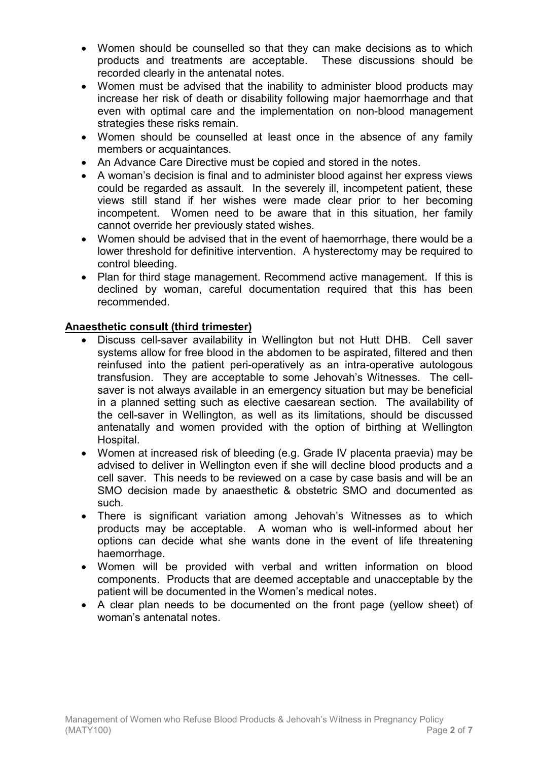- Women should be counselled so that they can make decisions as to which products and treatments are acceptable. These discussions should be recorded clearly in the antenatal notes.
- Women must be advised that the inability to administer blood products may increase her risk of death or disability following major haemorrhage and that even with optimal care and the implementation on non-blood management strategies these risks remain.
- Women should be counselled at least once in the absence of any family members or acquaintances.
- An Advance Care Directive must be copied and stored in the notes.
- A woman's decision is final and to administer blood against her express views could be regarded as assault. In the severely ill, incompetent patient, these views still stand if her wishes were made clear prior to her becoming incompetent. Women need to be aware that in this situation, her family cannot override her previously stated wishes.
- Women should be advised that in the event of haemorrhage, there would be a lower threshold for definitive intervention. A hysterectomy may be required to control bleeding.
- Plan for third stage management. Recommend active management. If this is declined by woman, careful documentation required that this has been recommended.

# **Anaesthetic consult (third trimester)**

- Discuss cell-saver availability in Wellington but not Hutt DHB. Cell saver systems allow for free blood in the abdomen to be aspirated, filtered and then reinfused into the patient peri-operatively as an intra-operative autologous transfusion. They are acceptable to some Jehovah's Witnesses. The cellsaver is not always available in an emergency situation but may be beneficial in a planned setting such as elective caesarean section. The availability of the cell-saver in Wellington, as well as its limitations, should be discussed antenatally and women provided with the option of birthing at Wellington Hospital.
- Women at increased risk of bleeding (e.g. Grade IV placenta praevia) may be advised to deliver in Wellington even if she will decline blood products and a cell saver. This needs to be reviewed on a case by case basis and will be an SMO decision made by anaesthetic & obstetric SMO and documented as such.
- There is significant variation among Jehovah's Witnesses as to which products may be acceptable. A woman who is well-informed about her options can decide what she wants done in the event of life threatening haemorrhage.
- Women will be provided with verbal and written information on blood components. Products that are deemed acceptable and unacceptable by the patient will be documented in the Women's medical notes.
- A clear plan needs to be documented on the front page (yellow sheet) of woman's antenatal notes.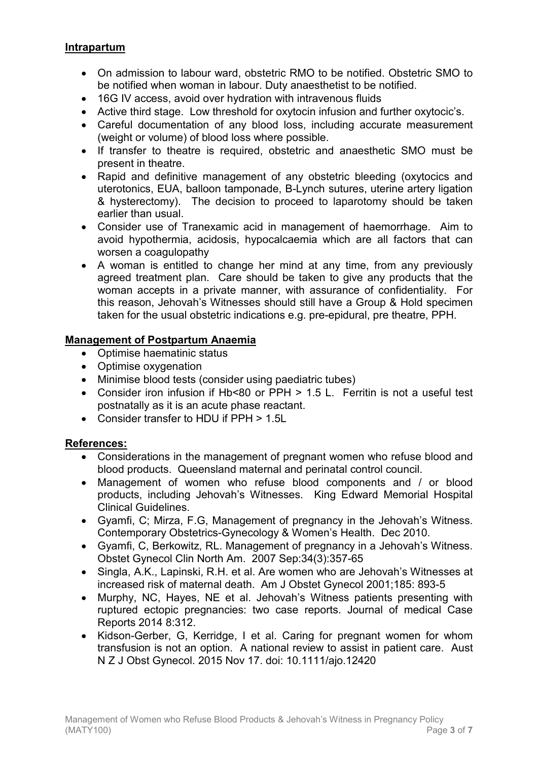#### **Intrapartum**

- On admission to labour ward, obstetric RMO to be notified. Obstetric SMO to be notified when woman in labour. Duty anaesthetist to be notified.
- 16G IV access, avoid over hydration with intravenous fluids
- Active third stage. Low threshold for oxytocin infusion and further oxytocic's.
- Careful documentation of any blood loss, including accurate measurement (weight or volume) of blood loss where possible.
- If transfer to theatre is required, obstetric and anaesthetic SMO must be present in theatre.
- Rapid and definitive management of any obstetric bleeding (oxytocics and uterotonics, EUA, balloon tamponade, B-Lynch sutures, uterine artery ligation & hysterectomy). The decision to proceed to laparotomy should be taken earlier than usual.
- Consider use of Tranexamic acid in management of haemorrhage. Aim to avoid hypothermia, acidosis, hypocalcaemia which are all factors that can worsen a coagulopathy
- A woman is entitled to change her mind at any time, from any previously agreed treatment plan. Care should be taken to give any products that the woman accepts in a private manner, with assurance of confidentiality. For this reason, Jehovah's Witnesses should still have a Group & Hold specimen taken for the usual obstetric indications e.g. pre-epidural, pre theatre, PPH.

# **Management of Postpartum Anaemia**

- Optimise haematinic status
- Optimise oxygenation
- Minimise blood tests (consider using paediatric tubes)
- Consider iron infusion if Hb<80 or PPH > 1.5 L. Ferritin is not a useful test postnatally as it is an acute phase reactant.
- Consider transfer to HDU if PPH > 1.5L

# **References:**

- Considerations in the management of pregnant women who refuse blood and blood products. Queensland maternal and perinatal control council.
- Management of women who refuse blood components and / or blood products, including Jehovah's Witnesses. King Edward Memorial Hospital Clinical Guidelines.
- Gyamfi, C; Mirza, F.G, Management of pregnancy in the Jehovah's Witness. Contemporary Obstetrics-Gynecology & Women's Health. Dec 2010.
- Gyamfi, C, Berkowitz, RL. Management of pregnancy in a Jehovah's Witness. Obstet Gynecol Clin North Am. 2007 Sep:34(3):357-65
- Singla, A.K., Lapinski, R.H. et al. Are women who are Jehovah's Witnesses at increased risk of maternal death. Am J Obstet Gynecol 2001;185: 893-5
- Murphy, NC, Hayes, NE et al. Jehovah's Witness patients presenting with ruptured ectopic pregnancies: two case reports. Journal of medical Case Reports 2014 8:312.
- Kidson-Gerber, G, Kerridge, I et al. Caring for pregnant women for whom transfusion is not an option. A national review to assist in patient care. Aust N Z J Obst Gynecol. 2015 Nov 17. doi: 10.1111/ajo.12420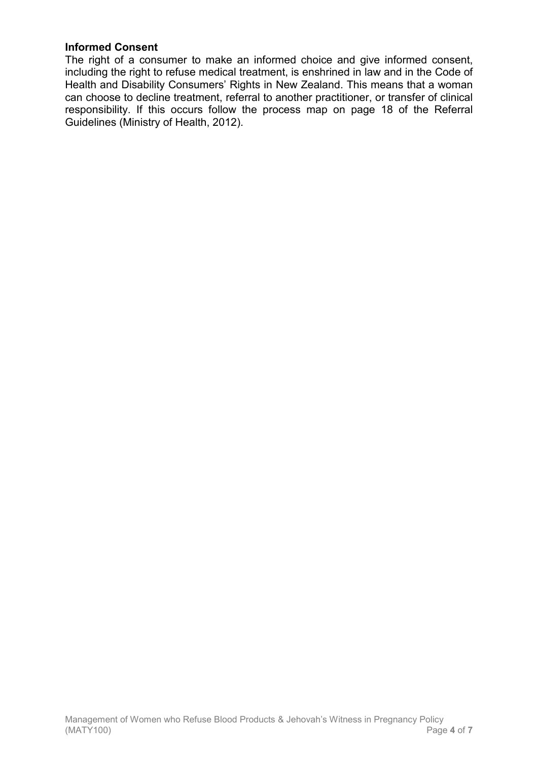# **Informed Consent**

The right of a consumer to make an informed choice and give informed consent, including the right to refuse medical treatment, is enshrined in law and in the Code of Health and Disability Consumers' Rights in New Zealand. This means that a woman can choose to decline treatment, referral to another practitioner, or transfer of clinical responsibility. If this occurs follow the process map on page 18 of the Referral Guidelines (Ministry of Health, 2012).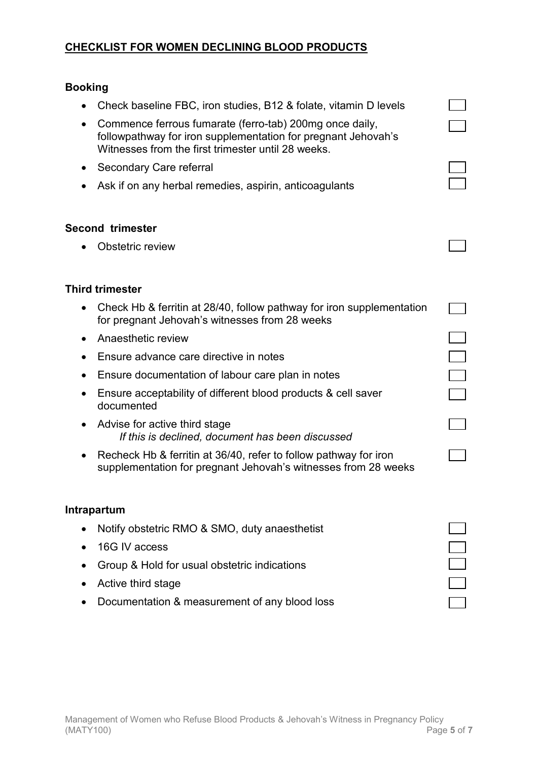### **CHECKLIST FOR WOMEN DECLINING BLOOD PRODUCTS**

#### **Booking**

- Check baseline FBC, iron studies, B12 & folate, vitamin D levels
- Commence ferrous fumarate (ferro-tab) 200mg once daily, followpathway for iron supplementation for pregnant Jehovah's Witnesses from the first trimester until 28 weeks.
- Secondary Care referral
- Ask if on any herbal remedies, aspirin, anticoagulants

#### **Second trimester**

• Obstetric review

#### **Third trimester**

• Check Hb & ferritin at 28/40, follow pathway for iron supplementation for pregnant Jehovah's witnesses from 28 weeks

 $\Box$ 

- Anaesthetic review
- Ensure advance care directive in notes
- Ensure documentation of labour care plan in notes
- Ensure acceptability of different blood products & cell saver documented
- Advise for active third stage  *If this is declined, document has been discussed*
- Recheck Hb & ferritin at 36/40, refer to follow pathway for iron supplementation for pregnant Jehovah's witnesses from 28 weeks

#### **Intrapartum**

- Notify obstetric RMO & SMO, duty anaesthetist
- 16G IV access
- Group & Hold for usual obstetric indications
- Active third stage
- Documentation & measurement of any blood loss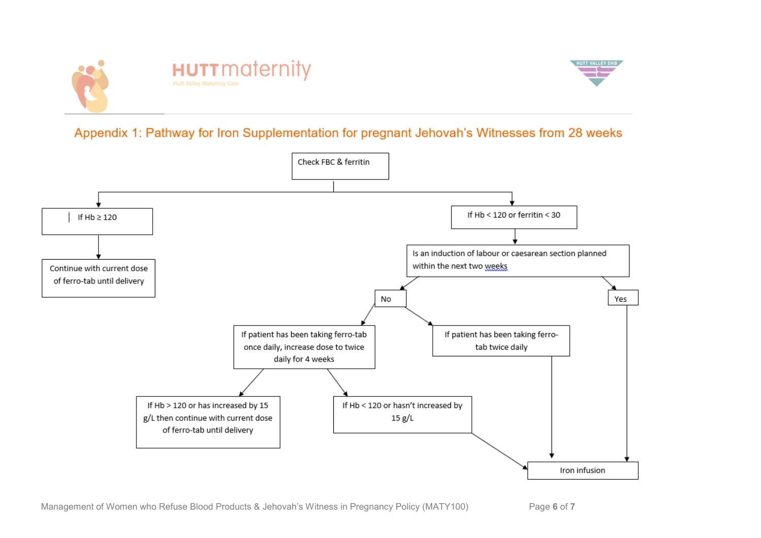



# Appendix 1: Pathway for Iron Supplementation for pregnant Jehovah's Witnesses from 28 weeks